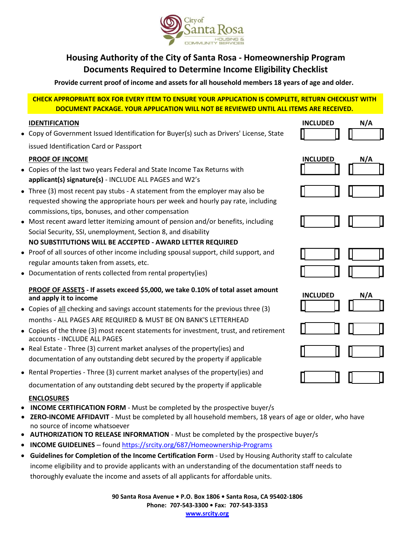

# **Housing Authority of the City of Santa Rosa - Homeownership Program Documents Required to Determine Income Eligibility Checklist**

**Provide current proof of income and assets for all household members 18 years of age and older.**

#### **CHECK APPROPRIATE BOX FOR EVERY ITEM TO ENSURE YOUR APPLICATION IS COMPLETE, RETURN CHECKLIST WITH DOCUMENT PACKAGE. YOUR APPLICATION WILL NOT BE REVIEWED UNTIL ALL ITEMS ARE RECEIVED.**

# **IDENTIFICATION INCLUDED N/A** ● Copy of Government Issued Identification for Buyer(s) such as Drivers' License, State issued Identification Card or Passport **PROOF OF INCOME** ● Copies of the last two years Federal and State Income Tax Returns with **applicant(s) signature(s)** - INCLUDE ALL PAGES and W2's • Three (3) most recent pay stubs - A statement from the employer may also be requested showing the appropriate hours per week and hourly pay rate, including commissions, tips, bonuses, and other compensation • Most recent award letter itemizing amount of pension and/or benefits, including Social Security, SSI, unemployment, Section 8, and disability **NO SUBSTITUTIONS WILL BE ACCEPTED - AWARD LETTER REQUIRED** ● Proof of all sources of other income including spousal support, child support, and regular amounts taken from assets, etc. • Documentation of rents collected from rental property(ies) **PROOF OF ASSETS - If assets exceed \$5,000, we take 0.10% of total asset amount and apply it to income** • Copies of all checking and savings account statements for the previous three (3) months - ALL PAGES ARE REQUIRED & MUST BE ON BANK'S LETTERHEAD **INCLUDED INCLUDED** ● Copies of the three (3) most recent statements for investment, trust, and retirement accounts - INCLUDE ALL PAGES • Real Estate - Three (3) current market analyses of the property(ies) and documentation of any outstanding debt secured by the property if applicable ● Rental Properties - Three (3) current market analyses of the property(ies) and documentation of any outstanding debt secured by the property if applicable **ENCLOSURES** • **INCOME CERTIFICATION FORM** - Must be completed by the prospective buyer/s • **ZERO-INCOME AFFIDAVIT** - Must be completed by all household members, 18 years of age or older, who have no source of income whatsoever • **AUTHORIZATION TO RELEASE INFORMATION** - Must be completed by the prospective buyer/s • **INCOME GUIDELINES** – found<https://srcity.org/687/Homeownership-Programs> • **Guidelines for Completion of the Income Certification Form** - Used by Housing Authority staff to calculate

income eligibility and to provide applicants with an understanding of the documentation staff needs to thoroughly evaluate the income and assets of all applicants for affordable units.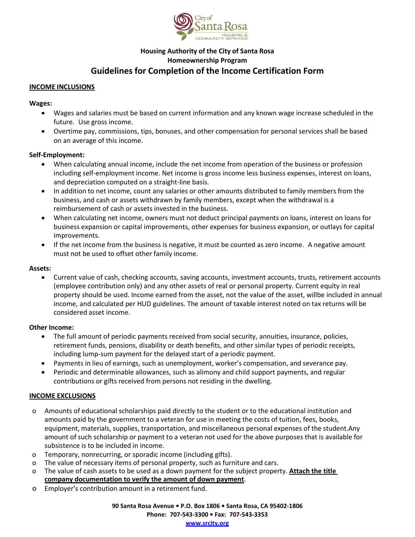

### **Housing Authority of the City of Santa Rosa Homeownership Program Guidelines for Completion of the Income Certification Form**

#### **INCOME INCLUSIONS**

#### **Wages:**

- Wages and salaries must be based on current information and any known wage increase scheduled in the future. Use gross income.
- Overtime pay, commissions, tips, bonuses, and other compensation for personal services shall be based on an average of this income.

#### **Self-Employment:**

- When calculating annual income, include the net income from operation of the business or profession including self-employment income. Net income is gross income less business expenses, interest on loans, and depreciation computed on a straight-line basis.
- In addition to net income, count any salaries or other amounts distributed to family members from the business, and cash or assets withdrawn by family members, except when the withdrawal is a reimbursement of cash or assets invested in the business.
- When calculating net income, owners must not deduct principal payments on loans, interest on loans for business expansion or capital improvements, other expenses for business expansion, or outlays for capital improvements.
- If the net income from the business is negative, it must be counted as zero income. A negative amount must not be used to offset other family income.

#### **Assets:**

• Current value of cash, checking accounts, saving accounts, investment accounts, trusts, retirement accounts (employee contribution only) and any other assets of real or personal property. Current equity in real property should be used. Income earned from the asset, not the value of the asset, willbe included in annual income, and calculated per HUD guidelines. The amount of taxable interest noted on tax returns will be considered asset income.

#### **Other Income:**

- The full amount of periodic payments received from social security, annuities, insurance, policies, retirement funds, pensions, disability or death benefits, and other similar types of periodic receipts, including lump-sum payment for the delayed start of a periodic payment.
- Payments in lieu of earnings, such as unemployment, worker's compensation, and severance pay.
- Periodic and determinable allowances, such as alimony and child support payments, and regular contributions or gifts received from persons not residing in the dwelling.

#### **INCOME EXCLUSIONS**

- o Amounts of educational scholarships paid directly to the student or to the educational institution and amounts paid by the government to a veteran for use in meeting the costs of tuition, fees, books, equipment, materials, supplies, transportation, and miscellaneous personal expenses of the student.Any amount of such scholarship or payment to a veteran not used for the above purposes that is available for subsistence is to be included in income.
- o Temporary, nonrecurring, or sporadic income (including gifts).
- o The value of necessary items of personal property, such as furniture and cars.
- o The value of cash assets to be used as a down payment for the subject property. **Attach the title company documentation to verify the amount of down payment**.
- o Employer's contribution amount in a retirement fund.

**90 Santa Rosa Avenue • P.O. Box 1806 • Santa Rosa, CA 95402-1806 Phone: 707-543-3300 • Fax: 707-543-3353 [www.srcity.org](http://www.srcity.org/)**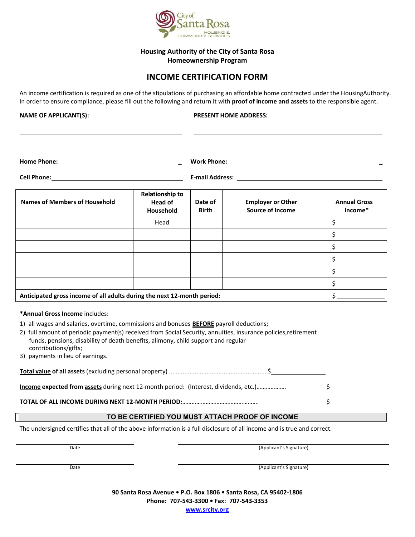

#### **Housing Authority of the City of Santa Rosa Homeownership Program**

## **INCOME CERTIFICATION FORM**

An income certification is required as one of the stipulations of purchasing an affordable home contracted under the HousingAuthority. In order to ensure compliance, please fill out the following and return it with **proof of income and assets** to the responsible agent.

**NAME OF APPLICANT(S): PRESENT HOME ADDRESS:**

**Home Phone:** \_ **Work Phone:** \_

**Cell Phone: E-mail Address:** 

| Names of Members of Household                                           | <b>Relationship to</b><br><b>Head of</b><br>Household | Date of<br><b>Birth</b> | <b>Employer or Other</b><br><b>Source of Income</b> | <b>Annual Gross</b><br>Income* |
|-------------------------------------------------------------------------|-------------------------------------------------------|-------------------------|-----------------------------------------------------|--------------------------------|
|                                                                         | Head                                                  |                         |                                                     |                                |
|                                                                         |                                                       |                         |                                                     |                                |
|                                                                         |                                                       |                         |                                                     |                                |
|                                                                         |                                                       |                         |                                                     |                                |
|                                                                         |                                                       |                         |                                                     |                                |
|                                                                         |                                                       |                         |                                                     |                                |
| Anticipated gross income of all adults during the next 12-month period: |                                                       |                         |                                                     |                                |

**\*Annual Gross Income** includes:

- 1) all wages and salaries, overtime, commissions and bonuses **BEFORE** payroll deductions;
- 2) full amount of periodic payment(s) received from Social Security, annuities, insurance policies,retirement funds, pensions, disability of death benefits, alimony, child support and regular contributions/gifts;
- 3) payments in lieu of earnings.

| <b>Income expected from assets</b> during next 12-month period: (Interest, dividends, etc.) |  |
|---------------------------------------------------------------------------------------------|--|
|                                                                                             |  |

#### **TO BE CERTIFIED YOU MUST ATTACH PROOF OF INCOME**

The undersigned certifies that all of the above information is a full disclosure of all income and is true and correct.

Date (Applicant's Signature)

Date (Applicant's Signature)

**90 Santa Rosa Avenue • P.O. Box 1806 • Santa Rosa, CA 95402-1806 Phone: 707-543-3300 • Fax: 707-543-3353**

**[www.srcity.org](http://www.srcity.org/)**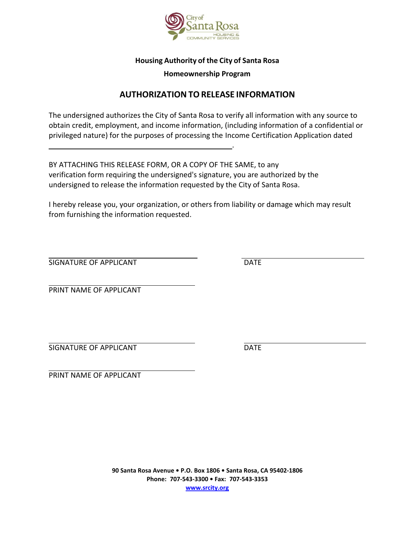

### **Housing Authority of the City of Santa Rosa**

#### **Homeownership Program**

# **AUTHORIZATION TORELEASE INFORMATION**

The undersigned authorizes the City of Santa Rosa to verify all information with any source to obtain credit, employment, and income information, (including information of a confidential or privileged nature) for the purposes of processing the Income Certification Application dated

.

BY ATTACHING THIS RELEASE FORM, OR A COPY OF THE SAME, to any verification form requiring the undersigned's signature, you are authorized by the undersigned to release the information requested by the City of Santa Rosa.

I hereby release you, your organization, or others from liability or damage which may result from furnishing the information requested.

SIGNATURE OF APPLICANT **EXAMPLE A SIGNATURE OF APPLICANT** 

PRINT NAME OF APPLICANT

SIGNATURE OF APPLICANT **EXECUTE A SIGNATURE OF APPLICANT** 

PRINT NAME OF APPLICANT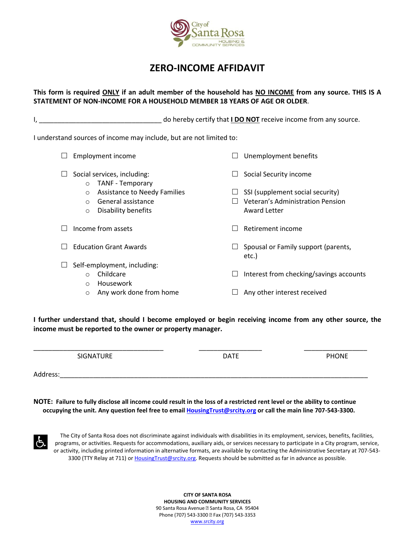

# **ZERO-INCOME AFFIDAVIT**

**This form is required ONLY if an adult member of the household has NO INCOME from any source. THIS IS A STATEMENT OF NON-INCOME FOR A HOUSEHOLD MEMBER 18 YEARS OF AGE OR OLDER**.

| I, |                                                                                                                    |         | do hereby certify that <b>I DO NOT</b> receive income from any source.               |
|----|--------------------------------------------------------------------------------------------------------------------|---------|--------------------------------------------------------------------------------------|
|    | I understand sources of income may include, but are not limited to:                                                |         |                                                                                      |
|    | Employment income                                                                                                  |         | Unemployment benefits                                                                |
|    | Social services, including:<br><b>TANF - Temporary</b><br>$\circ$                                                  |         | Social Security income                                                               |
|    | <b>Assistance to Needy Families</b><br>$\circ$<br>General assistance<br>$\Omega$<br>Disability benefits<br>$\circ$ |         | SSI (supplement social security)<br>Veteran's Administration Pension<br>Award Letter |
|    | Income from assets                                                                                                 |         | Retirement income                                                                    |
|    | <b>Education Grant Awards</b>                                                                                      |         | Spousal or Family support (parents,<br>etc.)                                         |
|    | Self-employment, including:<br>Childcare<br>$\Omega$<br>Housework<br>$\circ$                                       | $\perp$ | Interest from checking/savings accounts                                              |
|    | Any work done from home<br>$\circ$                                                                                 |         | Any other interest received                                                          |
|    |                                                                                                                    |         |                                                                                      |

**I further understand that, should I become employed or begin receiving income from any other source, the income must be reported to the owner or property manager.**

\_\_\_\_\_\_\_\_\_\_\_\_\_\_\_\_\_\_\_\_\_\_\_\_\_\_\_\_\_\_\_\_\_\_\_ \_\_\_\_\_\_\_\_\_\_\_\_\_\_\_\_\_ \_\_\_\_\_\_\_\_\_\_\_\_\_\_\_\_\_

SIGNATURE **Example 20 International CONTE DATE PHONE** 

Address:\_\_\_\_\_\_\_\_\_\_\_\_\_\_\_\_\_\_\_\_\_\_\_\_\_\_\_\_\_\_\_\_\_\_\_\_\_\_\_\_\_\_\_\_\_\_\_\_\_\_\_\_\_\_\_\_\_\_\_\_\_\_\_\_\_\_\_\_\_\_\_\_\_\_\_\_\_\_\_\_\_\_\_

**NOTE: Failure to fully disclose all income could result in the loss of a restricted rent level or the ability to continue occupying the unit. Any question feel free to emai[l HousingTrust@srcity.org](mailto:HousingTrust@srcity.org) or call the main line 707-543-3300.**



The City of Santa Rosa does not discriminate against individuals with disabilities in its employment, services, benefits, facilities, programs, or activities. Requests for accommodations, auxiliary aids, or services necessary to participate in a City program, service, or activity, including printed information in alternative formats, are available by contacting the Administrative Secretary at 707-543 3300 (TTY Relay at 711) o[r HousingTrust@srcity.org.](mailto:HousingTrust@srcity.org) Requests should be submitted as far in advance as possible.

> **CITY OF SANTA ROSA HOUSING AND COMMUNITY SERVICES** 90 Santa Rosa Avenue 2 Santa Rosa, CA 95404 Phone (707) 543-3300 2 Fax (707) 543-3353 [www.srcity.org](http://www.srcity.org/)